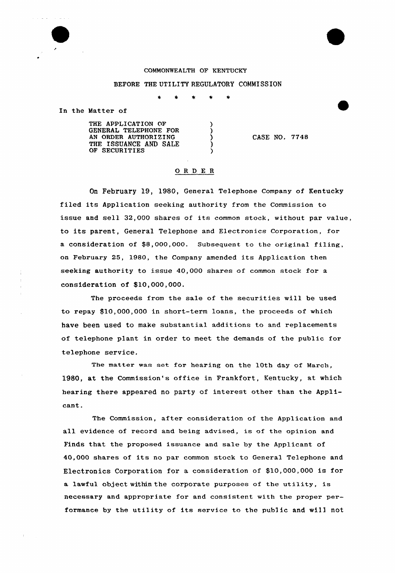## COMMONWEALTH OF KENTUCKY

## BEFORE THE UTILITY REGULATORY COMMISSION

 $\star$  $\star$ 

> $\lambda$  $\lambda$ λ  $\mathcal{E}$

In the Matter of

THE APPLICATION OF GENERAL TELEPHONE FOR AN ORDER AUTHORIZING THE ISSUANCE AND SALE OF SECURITIES

CASE NO. 7748

## ORDER

On February 19, 1980, General Telephone company of Kentucky filed its Application seeking authority from the Commission to issue and sell 32,000 shares of its common stock, without par value, to its parent, General Telephone and Electronics Corporation, for a consideration of \$8,000,000. Subsequent to the original filing, on February 25, 1980, the Company amended its Application then seeking authority to issue 40,000 shares of common stock for a consideration of \$10,000,000.

The proceeds from the sale of the securities will be used to repay \$10,000,000 in short-term loans, the proceeds of which have been used to make substantial additions to and replacements of telephone plant in order to meet the demands of the public for telephone service.

The matter was set for hearing on the 10th day of March, 1980, at the Commission's office in Frankfort, Kentucky, at which hearing there appeared no party of interest other than the Applicant.

The Commission, after consideration of the Application and all evidence of record and being advised, is of the opinion and Finds that the proposed issuance and sale by the Applicant of 40,000 shares of its no par common stock to General Telephone and Electronics Corporation for a consideration of \$10,000,000 is for a lawful object within the corporate purposes of the utility, is necessary and appropriate for and consistent with the proper performance by the utility of its service to the public and will not